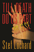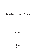## Till Death Do Us Part . . . Or Else

**Stef Lochard** 



**Eloquent Books**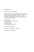Copyright © 2010

All rights reserved – Stef Lochard

No part of this book may be reproduced or transmitted in any form or by any means, graphic, electronic, or mechanical, including photocopying, recording, taping, or by any information storage retrieval system, without the permission, in writing, from the publisher.

Eloquent Books An imprint of Strategic Book Group P.O. Box 333 Durham CT 06422 www.StrategicBookGroup.com

ISBN: 978-1-63135-622-3

Printed in the United States of America

Book Design: Suzanne Kelly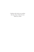*I dedicate this book to my mother, who has always believed in me. Thank you, Mom.*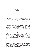## Prologue

She groaned and raised her right hand to her forehead as her eyes opened to an extraordinarily bright light, but closed them right away, wincing as its intensity only made her migraine worse. She could feel something rough against the skin of her hands when she grabbed hold of the coarse material beneath her and rolled to her side. Her arms were unstable and shaking as she gradually pushed herself up to a sitting position. While she shifted, the bumpy cushion she'd been laying on made a squeaky noise that rang in her ears like nails on a chalkboard.

With her head bent down and away from the light, she made another attempt at opening her eyes. This time there was no blinding light shooting rays of torturous pain into her head. She sought to focus on the ground spinning below her, but the blurry image of a young girl walking over to a blue car briefly flashed into her mind. Her face was shadowy, but her short blond hair was visibly pointing out from below an orange and white cap. The girl was wearing an orange and white vest over a white T-shirt, old blue jeans and sneakers. Her right hand was inside a book bag.

In a split second the flashback was gone and then back again, this time the girl was closer to the car than before. The split-second images continued until the girl had reached the car door, unlocked it and sat down in the driver's side. She turned the key in the ignition and then there was nothing but darkness. As quickly as they had come, the images were gone and she was now just staring at a jagged cement floor.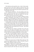She looked up and around the room, a look of utter puzzlement on her face as she tried to figure out where she was. The only light in the room was the one that hung above her. Although the light had seemed bright when she had first opened her eyes, it only faintly lit the room.

The only piece of furniture—the only anything in the room period—was the bed she now sat on. It stood against the far wall in the right-hand corner. The walls were made of the same jagged cement as the floor and enclosed in shadows.

The front half of the room was cloaked in darkness, but she managed to distinguish a faint outline of a door. Using the bed as a support, arms still shaking, she made an attempt to stand up. Her legs wobbled and she fell back. The drugs that her captor had used to subdue her made her feel lightheaded and unstable.

Looking down, she noticed she was wearing the same sneakers as the girl in those images. Her eyes then caught sight of the orange vest and old blue jeans. The last image that came to her a moment ago, the one of the girl turning the key in the ignition came back and this time she had a face. It was her—she was the one walking to the car.

She closed her eyes, hoping to remember more of how she came to be in this place, but nothing came to mind. All she could remember was the hair standing up at the back of her neck and her whole body tensing up right before it all went dark.

She made a second attempt to stand up—this time successfully. The room spun around her and she stuck her arms out to use as a shield when she walked towards what was quickly coming into focus as the door. There was no doorknob, rather a handle. When she tried to pull the door open, it didn't even budge.

"Hello? Can anyone hear me? Hello? Please help me!" She yelled as she banged on the door. "Hello? Somebody! Help me please!" She continued to bang on the door.

Suddenly the light went out and she found herself in complete darkness. A deep fear coursed through her veins and she could feel her body begin to shake—not out of instability, rather from the dread she felt. Her head was clearer now and she'd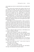seen enough scary movies to realize that this was no high school prank.

It was obvious that someone had somehow taken her and was holding her hostage. The first thought that came to her head was why she was being held captive. Was she being held for some kind of ransom or for…something else? The former seemed very unlikely since her parents had no money and were considered to be lower class. The latter—it frightened her beyond comprehension—was the more likely event in question.

Tears formed in her eyes and her bottom lip trembled as she turned around and slid down to the floor. She stared straight ahead at the nothingness ahead of her and fought back the panic that had begun to set in.

After taking in several deep breaths in order to calm herself down, she stood up and made her way in the dark back to the bed. She walked slowly, again with her arms out. Once she reached the bed, she lay down on her side so that she was facing the door. She wiped the tears from her eyes and struggled to even her breathing. Her priority was figuring a way out and if her mind was altered by terror, she would not be able to think clearly.

All of a sudden the lights came back on. She blinked as her eyes tried to readjust to the light.

"Hello, Laicee. Welcome." A male voice startled her.

She looked around the dimly lit room and finally spotted where the deep voice had come from. There, standing in the dark corner by the door, was the silhouette of a thin man wearing a baseball cap. He was leaning against the wall.

Even though he was looking straight at her, it was hard for her to get a good look at his face because his cap was pulled down low over his face.

"How do you know my name?" Laicee tried to keep her voice as steady as she could.

"You came to me in a dream."

"A dream?" She slowly began to sit up.

"Yes. I've been praying for a long time now. And finally a week ago, God answered me through a dream."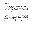"What were you praying for?" She was almost too scared to ask, fearing the response.

She didn't know whether to feel relieved or more scared when he didn't answer right away. A feeling of uneasiness came over her when she felt him staring at her. Suddenly he used his right leg to push off the wall and walked towards her. He stepped into the light. He wore a dark gray T-shirt and a pair of what looked like worn-out jeans. He was looking down at the floor.

He slowly raised his head to look over at her. The dim light revealed a rough face, like he hadn't shaved in several days. His forehead and cheeks were scarred with indentations—no doubt from years of battling acne.

He was glaring at her, but suddenly broke out into a smile. His eyes showed a mixture of anger and entitlement.

"A wife."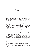## Chapter 1

Okay, guys. Here's our fifth victim. Her name is Laicee Hannighan. She's sixteen years old. She fits the same profile as The Groom's other four victims." Detective Rivers taped a picture of her up on a dry-erase board. "

Her picture was last in a row of four other pictures of smiling young women. Below their smiling pictures was a picture of each one as they'd been found on the road. Underneath the pictures were notes that had been jotted down by the detective. They included a summary of the information they had so far on the victims.

"Blond, pretty and young. She and Kathy were the only ones in high school. The others were in college at the time of their abduction." He turned and looked at police officers sitting at several wooden desks in a room used essentially for debriefing officers of situations such as these.

Detective Albert "Al" Rivers was shorter than most of his men, standing at a mere five foot, two inches. He was in his mid-fifties and had mentioned retirement so many times that his men took bids every day as to when he would actually go through with it. However, when this case came along a little over a year ago, all betting was put on hold. Rivers had a record to keep—in the thirty years he'd been a detective, he didn't have a single unsolved case to his name—and he wasn't about to start now.

"How long has she been missing?" One of the officers asked.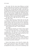"Two weeks. The first victim, Janice Wilkerson, was found dead five months after she went missing." He turned and pointed at a picture of each one of the victims as he spoke. "The second victim, Patty Lewis, was found after three months. Victims three and four, Kathy Masnk and Sherry Porter, were found after just a month and half. They were all tortured, raped and strangled. All four of them were found wearing a wedding dress and wedding bands. Now, either he's getting more impatient with them or he's perfecting his technique. Whichever it is, this means that we probably have *at most* three more weeks to find Laicee before he kills her."

"He grabs them at night, after they get off work, right?" Another officer asked.

"Correct. The last time any of these girls was seen, they were getting off their night shifts. All five girls only worked a couple of nights a week, the rest of the time they worked days. So this means that after he'd picked them out, he stalked them to figure out their work schedules. Laicee was last seen heading out to the parking lot after her shift at The Burger Hut."

"Who's gonna get the collar?" A third cop inquired.

"The collar?"

"Well, Wilkerson and Porter were found in Venice and the others were found here in Boca Raton…so who gets the collar?"

"I don't give a damn about a turf war. The important thing is finding Laicee—*alive*. But *yes*, we *will* be working with and trading information with the VPD. I expect each and every one of you to cooperate, *fully*." He emphasized.

"Where are we meeting?" The first officer asked.

"Venice is sending over the detective in charge of the Groom case over there. He'll be here in an hour. I want everybody to re-read the case files and be ready as soon as he arrives. Laicee is our number one priority at this point."

Venice's head detective arrived forty-five minutes after Detective Rivers had left his men to their reading. He looked a lot younger than Rivers—maybe in his thirties. A woman accompanied him and they were led into the debriefing room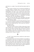and shown to a couple of seats that had been placed aside for them.

"First I want to welcome you to our precinct and thank you for being willing to cooperate with us. It's good to know that something as trivial as a turf war won't get in the way of justice. Unfortunately, even after a year, we don't have much on this guy. We've gone over the victim's homes, their jobs and interviewed anyone that knew them. No one, including the families, could tell us anything. This guy is a chameleon. If the girls noticed him, they never said anything to anyone."

"Have you guys been able to get a description of the guy? Any witnesses see weird guys hanging around the parking lot?" The VPD's detective asked.

"You mean other than the usual sleazebags that hang around? No. Everyone we talked to said they never noticed anything different. So we're flying blind here. Did you get any witnesses?" Rivers asked in turn.

He shook his head.

"Well, here's what we *do* have. He likes young, pretty women who are blond. They've all been found wearing a wedding dress and a ring. He doesn't just throw them out of the car; he lays them carefully on the side of the highway, where someone is sure to find them. But he leaves them so clean that we can't get anything on him. This guy is a ghost."

## **the state**

"A wife?" Laicee stared at him, careful not to show the disgust she was feeling.

It was hard to stay calm when her heartbeat was pounding so hard through her chest she was waiting for it to break through her shirt at any minute. But she couldn't give him the satisfaction of knowing how truly terrified she was at this moment. While growing up, she'd witnessed all too well how predators lived on the fear of their victims and she would be dammed if she would give him that pleasure before she died.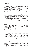"Yes. It's God's design for a man to have a woman by his side." He took a step toward her.

Her hands balled up into fists. *Keep your cool, Laicee. You can't think straight if you don't keep your cool.*

He took another couple of steps and came to stand right in front of her. He reached out his hand to her. Fighting back her tears as hard as she could, she looked over at his hand and then placed hers in it. He helped her stand up and pulled her close to him. After putting his hand around her waist, he began to sway back and forth. She was pulled closer so that the side of his head rested against hers.

He smelled her hair and suddenly she felt something hard press against her. She stiffened and he immediately let go of her.

"Look at what you made me do!" He smacked her in the face with the back of his hand. "We can't until we're married!"

Laicee fell back onto the bed. She looked up at him and glared.

"This is a sin! You're making me sin! You have to be cleansed!" All of a sudden, he grabbed her hand and pulled her towards the door.

He yanked it open and pulled her out of the room with him. They started walking down a badly lit hallway.

"Where are you taking me?" She demanded.

"You have to be cleansed!"

"No, wait! I'm sorry! I'm sorry I made you sin! I won't do it anymore, I swear!"

He stopped and looked at her. He let go of her arm and wrapped his fingers around her neck. Then he threw her back against the wall and sneered as his fingers squeezed her neck tightly. Laicee started to gag and her hands shot up to grab onto his.

"Swearing is a sin. Sinners have to die!"

"No! Please!" She choked out. "I'll…stop…I'll…stop… sinning." She felt lightheaded and the hallway started to spin around her.

His face started to become fuzzy as she lost focus and then everything went dark.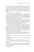When she woke up she felt something cool against her skin. She rubbed the side of her head trying to get rid of her headache. She looked around her and noticed white tile. All of a sudden cold water poured down on her. She gasped and tried to get away from it, but a hand tightened around her arm and pulled her back.

"Sit still. You have to be cleansed!"

Her eyes widened when she realized she was sitting naked in a shower stall. He was glaring down at her. He grabbed her hair and shoved her head under the shower. Then he took a bottle that had been sitting on the floor next to him. He poured some white liquid on her head and began to scrub her.

She flinched and tried to get away when the metal points dug into her scalp. But he grabbed her hair and pulled her back to him. She tried to move away again and this time he balled her hair in his hand and pulled her inches from his face.

"If I can't cleanse you, I'll have to kill you. Sinners have to die."

Looking into the eyes of the clearly deranged man in front of her, Laicee suddenly held still and let him scrub her head. She clenched her teeth as the hard bristles of the brush dug into her head —careful not to move or make any noise that would make him angrier. She looked down at the floor and watched as drops of blood painted the white tile crimson.

He must have noticed as well because he suddenly stopped scrubbing. He put his hand under her chin and lifted her face to look at him.

"I'm sorry. I'm sorry for hurting you." His voice was tender and caring.

"It's okay. I deserve it for sinning." Laicee responded and smiled weakly.

"I'll be more gentle. But I have to wash away your sin." He grabbed the bar of soap that was lying next to the bottle of shampoo.

He lathered up his hands and went to wash her shoulders. She sat still and stared at the floor. Unexpectedly he stopped and handed the soap to her.

"You do it."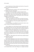Laicee looked up at him and then took the bar of soap. He turned, stood up and turned around.

"Hurry."

She bathed herself as quickly as she could. She didn't want to instigate any more of his anger.

"I'm done." She said faintly a couple of minutes later.

He walked over to the wall on the right of the open shower. He grabbed the white towel that hung there and handed it to her before turning back around. She quickly dried off and then wrapped it around herself.

"What do you want me to wear?"

"There." He pointed to the chair that sat beside the shower.

A shirt and a pair of pants lay on the chair. She noticed that there was no underwear or bra, but quickly slipped them on.

"I'm dressed."

He said nothing, just grabbed her and led her back to her room. He threw her inside and shut the door.

Laicee walked over to the bed and sat down against the wall. She brought her knees up to her chin and just stared at the floor. She had to figure a way out of there, but it was hard to think of anything other than the stinging burn on top of her head.

Laicee was staring at the bed when she heard a latch shift and the door scrape open. She looked up and saw him standing there. He was holding a tray out to her. She stood up and walked over to him.

"Thank you." She smiled as she took the tray and then turned to walk back to the bed.

"You're welcome."

His soft tone stopped her in her tracks and she looked back at him. His smile looked affectionately shy. It painted a completely different picture from the man that had just finished scrubbing her head until it bled. She smiled back and then walked over to the bed. By the time she'd sat down, the door had closed and the latch replaced.

Laicee looked down at the tray. Her eyes widened in surprise as she stared down at the meal sitting on an elegant porcelain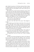plate. Small cut up pieces of well-done steak lay beside a clump of mashed potatoes and some green beans. The spoon that lay beside the plate was silver-plated. In the corner of the tray was a glass of water.

She laid the tray on her lap and scooped up a piece of the steak in her spoon. She fully expected to drop dead within seconds of eating, but took a bite anyway. When nothing happened, she gave in to her hunger and gulped down the food. Within seconds of finishing, the latch clicked and the door opened. He walked in and walked over to her. He gazed down at her.

"Did you like it?" His voice was as soft as before.

"Yes, it was very good. Thank you."

He took the tray and left the room.

*He can see me. But where's the camera?* She thought to herself.

She looked up, put her hand on the back of her neck and rubbed it. She didn't want to make it obvious she was looking for a hidden camera. As her head moved back and forth, she quickly glanced around the room. There was nothing but rough cement without any cracks. She lowered her head once more so it wouldn't be obvious she was searching.

"I…I have to go to the bathroom. Please?" She called out towards the door ten minutes later. "Please? If you're there?"

Within minutes the door opened and he poked his head in.

"All right. But if you try to leave me, I'll have to punish you."

"I won't."

He held out his hand and helped her stand up. He followed her out of the room and down the hallway to the room he'd showered her in. It had the same cement walls as her room. The toilet was up against the wall to the right of the shower.

He nodded for her to go in and then turned around. Laicee went as quickly as she could and walked over to the sink to wash her hands. Despite the fact that the room was bare-looking—the sink sat against the left wall, the toilet against the right and a small tiled shower in the back—it looked clean and sanitized. Not dirty and full of mold like you would see in a horror movie.